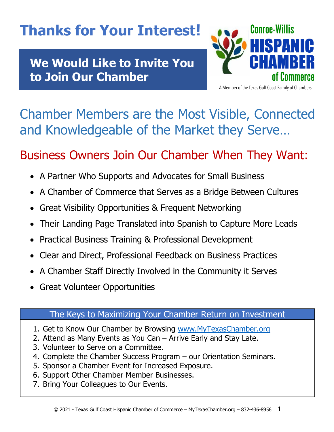# **Thanks for Your Interest!**

**We Would Like to Invite You to Join Our Chamber**



A Member of the Texas Gulf Coast Family of Chambers

# Chamber Members are the Most Visible, Connected and Knowledgeable of the Market they Serve…

## Business Owners Join Our Chamber When They Want:

- A Partner Who Supports and Advocates for Small Business
- A Chamber of Commerce that Serves as a Bridge Between Cultures
- Great Visibility Opportunities & Frequent Networking
- Their Landing Page Translated into Spanish to Capture More Leads
- Practical Business Training & Professional Development
- Clear and Direct, Professional Feedback on Business Practices
- A Chamber Staff Directly Involved in the Community it Serves
- Great Volunteer Opportunities

### The Keys to Maximizing Your Chamber Return on Investment

- 1. Get to Know Our Chamber by Browsing www.MyTexasChamber.org
- 2. Attend as Many Events as You Can Arrive Early and Stay Late.
- 3. Volunteer to Serve on a Committee.
- 4. Complete the Chamber Success Program our Orientation Seminars.
- 5. Sponsor a Chamber Event for Increased Exposure.
- 6. Support Other Chamber Member Businesses.
- 7. Bring Your Colleagues to Our Events.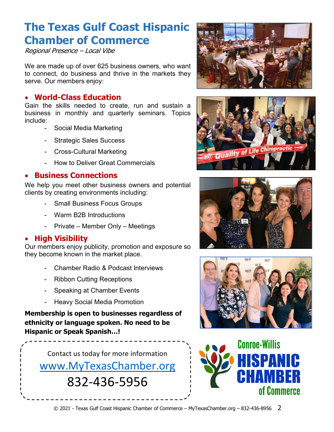## **The Texas Gulf Coast Hispanic Chamber of Commerce**

Regional Presence – Local Vibe

We are made up of over 625 business owners, who want to connect, do business and thrive in the markets they serve. Our members enjoy:

#### • **World-Class Education**

• Gain the skills needed to create, run and sustain a business in monthly and quarterly seminars. Topics include:

- Social Media Marketing
- Strategic Sales Success
- Cross-Cultural Marketing
- How to Deliver Great Commercials

#### • **Business Connections**

We help you meet other business owners and potential clients by creating environments including:

- **Small Business Focus Groups**
- Warm B2B Introductions
- Private Member Only Meetings

#### • **High Visibility**

Our members enjoy publicity, promotion and exposure so they become known in the market place.

- Chamber Radio & Podcast Interviews
- Ribbon Cutting Receptions
- Speaking at Chamber Events
- **Heavy Social Media Promotion**

**Membership is open to businesses regardless of ethnicity or language spoken. No need to be Hispanic or Speak Spanish…!**

Contact us today for more information www.MyTexasChamber.org 832-436-5956









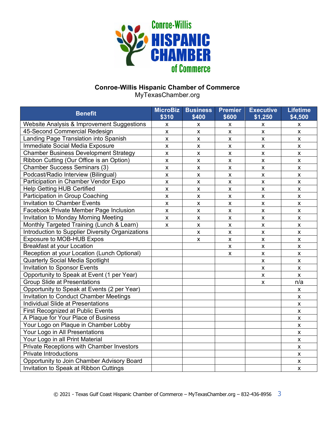

### **Conroe-Willis Hispanic Chamber of Commerce**

MyTexasChamber.org

| <b>Benefit</b>                                   | <b>MicroBiz</b><br>\$310 | <b>Business</b><br>\$400 | <b>Premier</b><br>\$600 | <b>Executive</b><br>\$1,250 | <b>Lifetime</b><br>\$4,500 |
|--------------------------------------------------|--------------------------|--------------------------|-------------------------|-----------------------------|----------------------------|
| Website Analysis & Improvement Suggestions       | $\pmb{\times}$           | x                        | X                       | X                           | X                          |
| 45-Second Commercial Redesign                    | $\pmb{\mathsf{X}}$       | $\pmb{\times}$           | $\pmb{\mathsf{x}}$      | $\pmb{\times}$              | $\pmb{\mathsf{x}}$         |
| Landing Page Translation into Spanish            | $\pmb{\times}$           | $\pmb{\times}$           | $\pmb{\mathsf{x}}$      | $\pmb{\times}$              | $\pmb{\times}$             |
| Immediate Social Media Exposure                  | $\pmb{\mathsf{x}}$       | $\pmb{\mathsf{X}}$       | $\pmb{\mathsf{x}}$      | $\pmb{\mathsf{X}}$          | $\pmb{\mathsf{x}}$         |
| <b>Chamber Business Development Strategy</b>     | $\pmb{\mathsf{x}}$       | $\pmb{\mathsf{X}}$       | $\pmb{\mathsf{x}}$      | $\mathsf{x}$                | $\pmb{\mathsf{x}}$         |
| Ribbon Cutting (Our Office is an Option)         | $\pmb{\mathsf{x}}$       | $\pmb{\mathsf{X}}$       | $\pmb{\mathsf{x}}$      | $\mathsf{x}$                | $\pmb{\mathsf{x}}$         |
| <b>Chamber Success Seminars (3)</b>              | $\pmb{\mathsf{X}}$       | $\pmb{\times}$           | $\pmb{\times}$          | $\mathsf{x}$                | X                          |
| Podcast/Radio Interview (Bilingual)              | $\pmb{\mathsf{X}}$       | $\pmb{\times}$           | $\pmb{\times}$          | $\pmb{\mathsf{X}}$          | X                          |
| Participation in Chamber Vendor Expo             | $\pmb{\mathsf{X}}$       | $\pmb{\mathsf{X}}$       | $\pmb{\mathsf{x}}$      | $\pmb{\times}$              | X                          |
| <b>Help Getting HUB Certified</b>                | $\pmb{\mathsf{X}}$       | $\pmb{\mathsf{X}}$       | $\pmb{\mathsf{X}}$      | $\pmb{\times}$              | X                          |
| Participation in Group Coaching                  | $\pmb{\times}$           | $\pmb{\mathsf{X}}$       | $\pmb{\mathsf{x}}$      | $\pmb{\times}$              | $\pmb{\times}$             |
| <b>Invitation to Chamber Events</b>              | $\pmb{\times}$           | $\pmb{\times}$           | $\pmb{\times}$          | $\pmb{\times}$              | $\pmb{\times}$             |
| Facebook Private Member Page Inclusion           | $\pmb{\times}$           | $\pmb{\times}$           | $\pmb{\times}$          | $\pmb{\times}$              | $\pmb{\times}$             |
| <b>Invitation to Monday Morning Meeting</b>      | $\pmb{\times}$           | $\pmb{\mathsf{X}}$       | $\pmb{\times}$          | $\pmb{\times}$              | $\pmb{\times}$             |
| Monthly Targeted Training (Lunch & Learn)        | $\mathsf{x}$             | $\pmb{\times}$           | $\pmb{\mathsf{x}}$      | $\mathsf{x}$                | $\pmb{\times}$             |
| Introduction to Supplier Diversity Organizations |                          | $\pmb{\times}$           | $\pmb{\mathsf{x}}$      | $\pmb{\times}$              | $\pmb{\times}$             |
| Exposure to MOB-HUB Expos                        |                          | X                        | $\pmb{\times}$          | $\pmb{\times}$              | X                          |
| <b>Breakfast at your Location</b>                |                          |                          | X                       | $\pmb{\mathsf{X}}$          | X                          |
| Reception at your Location (Lunch Optional)      |                          |                          | X                       | $\pmb{\times}$              | X                          |
| Quarterly Social Media Spotlight                 |                          |                          |                         | $\pmb{\times}$              | $\pmb{\mathsf{x}}$         |
| <b>Invitation to Sponsor Events</b>              |                          |                          |                         | $\pmb{\times}$              | $\pmb{\times}$             |
| Opportunity to Speak at Event (1 per Year)       |                          |                          |                         | $\pmb{\times}$              | $\pmb{\times}$             |
| <b>Group Slide at Presentations</b>              |                          |                          |                         | X                           | n/a                        |
| Opportunity to Speak at Events (2 per Year)      |                          |                          |                         |                             | X                          |
| Invitation to Conduct Chamber Meetings           |                          |                          |                         |                             | X                          |
| Individual Slide at Presentations                |                          |                          |                         |                             | $\pmb{\times}$             |
| <b>First Recognized at Public Events</b>         |                          |                          |                         |                             | X                          |
| A Plaque for Your Place of Business              |                          |                          |                         |                             | $\pmb{\mathsf{X}}$         |
| Your Logo on Plaque in Chamber Lobby             |                          |                          |                         |                             | $\pmb{\times}$             |
| Your Logo in All Presentations                   |                          |                          |                         |                             | $\pmb{\times}$             |
| Your Logo in all Print Material                  |                          |                          |                         |                             | $\pmb{\times}$             |
| Private Receptions with Chamber Investors        |                          |                          |                         |                             | $\pmb{\times}$             |
| <b>Private Introductions</b>                     |                          |                          |                         |                             | $\pmb{\times}$             |
| Opportunity to Join Chamber Advisory Board       |                          |                          |                         |                             | X                          |
| Invitation to Speak at Ribbon Cuttings           |                          |                          |                         |                             | $\pmb{\times}$             |